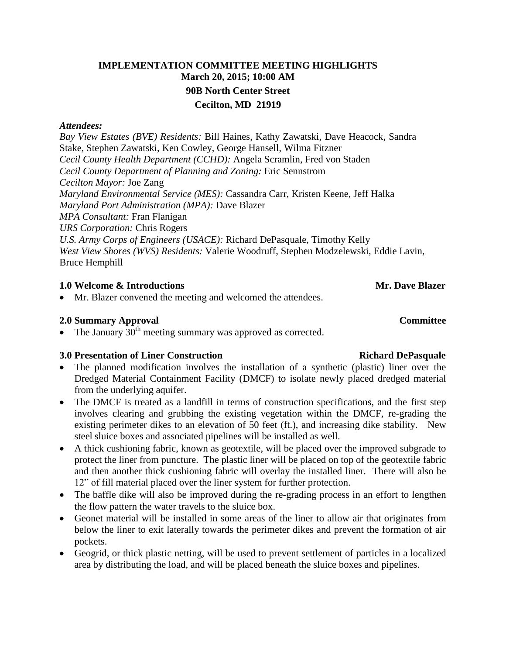## **IMPLEMENTATION COMMITTEE MEETING HIGHLIGHTS March 20, 2015; 10:00 AM 90B North Center Street Cecilton, MD 21919**

### *Attendees:*

*Bay View Estates (BVE) Residents:* Bill Haines, Kathy Zawatski, Dave Heacock, Sandra Stake, Stephen Zawatski, Ken Cowley, George Hansell, Wilma Fitzner *Cecil County Health Department (CCHD):* Angela Scramlin, Fred von Staden *Cecil County Department of Planning and Zoning:* Eric Sennstrom *Cecilton Mayor:* Joe Zang *Maryland Environmental Service (MES):* Cassandra Carr, Kristen Keene, Jeff Halka *Maryland Port Administration (MPA):* Dave Blazer *MPA Consultant:* Fran Flanigan *URS Corporation:* Chris Rogers *U.S. Army Corps of Engineers (USACE):* Richard DePasquale, Timothy Kelly *West View Shores (WVS) Residents:* Valerie Woodruff, Stephen Modzelewski, Eddie Lavin, Bruce Hemphill

### **1.0** Welcome & Introductions **Mr. Dave Blazer** Mr. Dave Blazer

Mr. Blazer convened the meeting and welcomed the attendees.

### **2.0 Summary Approval Committee**

• The January  $30<sup>th</sup>$  meeting summary was approved as corrected.

### **3.0** Presentation of Liner Construction Richard DePasquale

- The planned modification involves the installation of a synthetic (plastic) liner over the Dredged Material Containment Facility (DMCF) to isolate newly placed dredged material from the underlying aquifer.
- The DMCF is treated as a landfill in terms of construction specifications, and the first step involves clearing and grubbing the existing vegetation within the DMCF, re-grading the existing perimeter dikes to an elevation of 50 feet (ft.), and increasing dike stability. New steel sluice boxes and associated pipelines will be installed as well.
- A thick cushioning fabric, known as geotextile, will be placed over the improved subgrade to protect the liner from puncture. The plastic liner will be placed on top of the geotextile fabric and then another thick cushioning fabric will overlay the installed liner. There will also be 12" of fill material placed over the liner system for further protection.
- The baffle dike will also be improved during the re-grading process in an effort to lengthen the flow pattern the water travels to the sluice box.
- Geonet material will be installed in some areas of the liner to allow air that originates from below the liner to exit laterally towards the perimeter dikes and prevent the formation of air pockets.
- Geogrid, or thick plastic netting, will be used to prevent settlement of particles in a localized area by distributing the load, and will be placed beneath the sluice boxes and pipelines.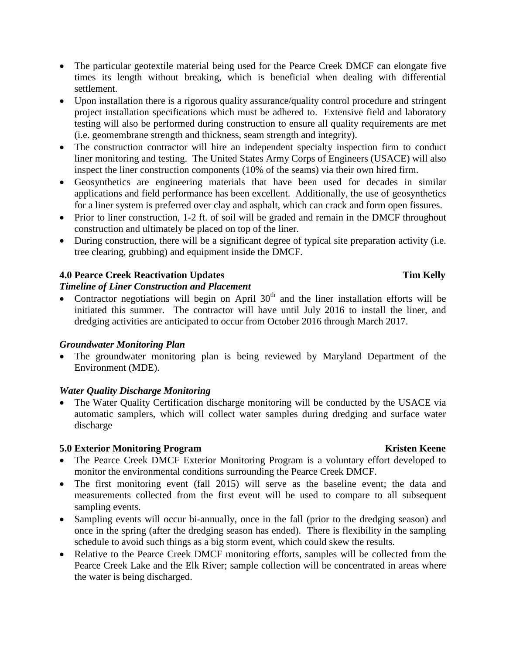- The particular geotextile material being used for the Pearce Creek DMCF can elongate five times its length without breaking, which is beneficial when dealing with differential settlement.
- Upon installation there is a rigorous quality assurance/quality control procedure and stringent project installation specifications which must be adhered to. Extensive field and laboratory testing will also be performed during construction to ensure all quality requirements are met (i.e. geomembrane strength and thickness, seam strength and integrity).
- The construction contractor will hire an independent specialty inspection firm to conduct liner monitoring and testing. The United States Army Corps of Engineers (USACE) will also inspect the liner construction components (10% of the seams) via their own hired firm.
- Geosynthetics are engineering materials that have been used for decades in similar applications and field performance has been excellent. Additionally, the use of geosynthetics for a liner system is preferred over clay and asphalt, which can crack and form open fissures.
- Prior to liner construction, 1-2 ft. of soil will be graded and remain in the DMCF throughout construction and ultimately be placed on top of the liner.
- During construction, there will be a significant degree of typical site preparation activity (i.e. tree clearing, grubbing) and equipment inside the DMCF.

## **4.0 Pearce Creek Reactivation Updates Tim Kelly**

## *Timeline of Liner Construction and Placement*

 $\bullet$  Contractor negotiations will begin on April 30<sup>th</sup> and the liner installation efforts will be initiated this summer. The contractor will have until July 2016 to install the liner, and dredging activities are anticipated to occur from October 2016 through March 2017.

## *Groundwater Monitoring Plan*

 The groundwater monitoring plan is being reviewed by Maryland Department of the Environment (MDE).

## *Water Quality Discharge Monitoring*

 The Water Quality Certification discharge monitoring will be conducted by the USACE via automatic samplers, which will collect water samples during dredging and surface water discharge

## **5.0 Exterior Monitoring Program Kristen Keene**

- The Pearce Creek DMCF Exterior Monitoring Program is a voluntary effort developed to monitor the environmental conditions surrounding the Pearce Creek DMCF.
- The first monitoring event (fall 2015) will serve as the baseline event; the data and measurements collected from the first event will be used to compare to all subsequent sampling events.
- Sampling events will occur bi-annually, once in the fall (prior to the dredging season) and once in the spring (after the dredging season has ended). There is flexibility in the sampling schedule to avoid such things as a big storm event, which could skew the results.
- Relative to the Pearce Creek DMCF monitoring efforts, samples will be collected from the Pearce Creek Lake and the Elk River; sample collection will be concentrated in areas where the water is being discharged.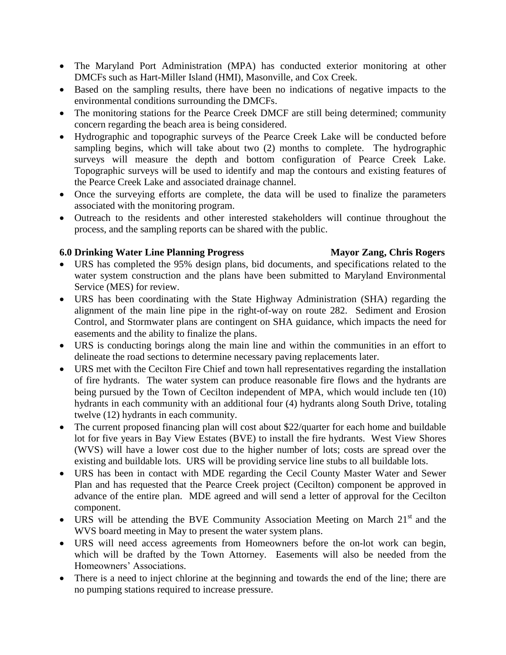- The Maryland Port Administration (MPA) has conducted exterior monitoring at other DMCFs such as Hart-Miller Island (HMI), Masonville, and Cox Creek.
- Based on the sampling results, there have been no indications of negative impacts to the environmental conditions surrounding the DMCFs.
- The monitoring stations for the Pearce Creek DMCF are still being determined; community concern regarding the beach area is being considered.
- Hydrographic and topographic surveys of the Pearce Creek Lake will be conducted before sampling begins, which will take about two (2) months to complete. The hydrographic surveys will measure the depth and bottom configuration of Pearce Creek Lake. Topographic surveys will be used to identify and map the contours and existing features of the Pearce Creek Lake and associated drainage channel.
- Once the surveying efforts are complete, the data will be used to finalize the parameters associated with the monitoring program.
- Outreach to the residents and other interested stakeholders will continue throughout the process, and the sampling reports can be shared with the public.

### **6.0 Drinking Water Line Planning Progress Mayor Zang, Chris Rogers**

- URS has completed the 95% design plans, bid documents, and specifications related to the water system construction and the plans have been submitted to Maryland Environmental Service (MES) for review.
- URS has been coordinating with the State Highway Administration (SHA) regarding the alignment of the main line pipe in the right-of-way on route 282. Sediment and Erosion Control, and Stormwater plans are contingent on SHA guidance, which impacts the need for easements and the ability to finalize the plans.
- URS is conducting borings along the main line and within the communities in an effort to delineate the road sections to determine necessary paving replacements later.
- URS met with the Cecilton Fire Chief and town hall representatives regarding the installation of fire hydrants. The water system can produce reasonable fire flows and the hydrants are being pursued by the Town of Cecilton independent of MPA, which would include ten (10) hydrants in each community with an additional four (4) hydrants along South Drive, totaling twelve (12) hydrants in each community.
- The current proposed financing plan will cost about \$22/quarter for each home and buildable lot for five years in Bay View Estates (BVE) to install the fire hydrants. West View Shores (WVS) will have a lower cost due to the higher number of lots; costs are spread over the existing and buildable lots. URS will be providing service line stubs to all buildable lots.
- URS has been in contact with MDE regarding the Cecil County Master Water and Sewer Plan and has requested that the Pearce Creek project (Cecilton) component be approved in advance of the entire plan. MDE agreed and will send a letter of approval for the Cecilton component.
- URS will be attending the BVE Community Association Meeting on March  $21<sup>st</sup>$  and the WVS board meeting in May to present the water system plans.
- URS will need access agreements from Homeowners before the on-lot work can begin, which will be drafted by the Town Attorney. Easements will also be needed from the Homeowners' Associations.
- There is a need to inject chlorine at the beginning and towards the end of the line; there are no pumping stations required to increase pressure.